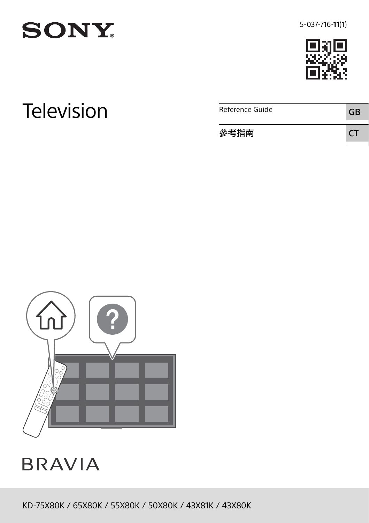



**SONY** 

Television **Reference Guide** GB 參考指南 CT



**BRAVIA** 

KD-75X80K / 65X80K / 55X80K / 50X80K / 43X81K / 43X80K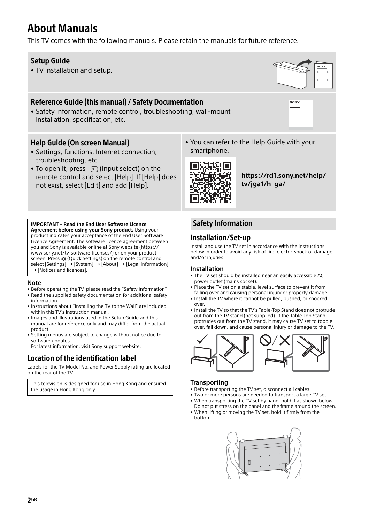# About Manuals

This TV comes with the following manuals. Please retain the manuals for future reference.

### Setup Guide

• TV installation and setup.

# Reference Guide (this manual) / Safety Documentation

• Safety information, remote control, troubleshooting, wall-mount installation, specification, etc.

### Help Guide (On screen Manual)

• Settings, functions, Internet connection, troubleshooting, etc.

**IMPORTANT – Read the End User Software Licence Agreement before using your Sony product.** Using your product indicates your acceptance of the End User Software Licence Agreement. The software licence agreement between you and Sony is available online at Sony website (https:// www.sony.net/tv-software-licenses/) or on your product screen. Press **x** (Quick Settings) on the remote control and  $select [Setting] \rightarrow [System] \rightarrow [About] \rightarrow [Legend]$ 

• Before operating the TV, please read the "[Safety Information"](#page-1-0). • Read the supplied safety documentation for additional safety

• Instructions about ["Installing the TV to the Wall](#page-3-0)" are included

• Images and illustrations used in the Setup Guide and this manual are for reference only and may differ from the actual

• Setting menus are subject to change without notice due to

Labels for the TV Model No. and Power Supply rating are located

This television is designed for use in Hong Kong and ensured

For latest information, visit Sony support website. Location of the identification label

- To open it, press  $\ominus$  (Input select) on the remote control and select [Help]. If [Help] does not exist, select [Edit] and add [Help].
- You can refer to the Help Guide with your smartphone.



**[https://rd1.sony.net/help/](https://rd1.sony.net/help/tv/jga1/h_ga/) tv/jga1/h\_ga/**

# <span id="page-1-0"></span>Safety Information

### Installation/Set-up

Install and use the TV set in accordance with the instructions below in order to avoid any risk of fire, electric shock or damage and/or injuries.

#### **Installation**

- The TV set should be installed near an easily accessible AC power outlet (mains socket).
- Place the TV set on a stable, level surface to prevent it from falling over and causing personal injury or property damage.
- Install the TV where it cannot be pulled, pushed, or knocked over.
- Install the TV so that the TV's Table-Top Stand does not protrude out from the TV stand (not supplied). If the Table-Top Stand protrudes out from the TV stand, it may cause TV set to topple over, fall down, and cause personal injury or damage to the TV.



#### **Transporting**

- Before transporting the TV set, disconnect all cables.
- Two or more persons are needed to transport a large TV set.
- When transporting the TV set by hand, hold it as shown below. Do not put stress on the panel and the frame around the screen.
- When lifting or moving the TV set, hold it firmly from the bottom.





Note

information.

product.

software updates.

on the rear of the TV.

the usage in Hong Kong only.

within this TV's instruction manual.

 $\rightarrow$  [Notices and licences].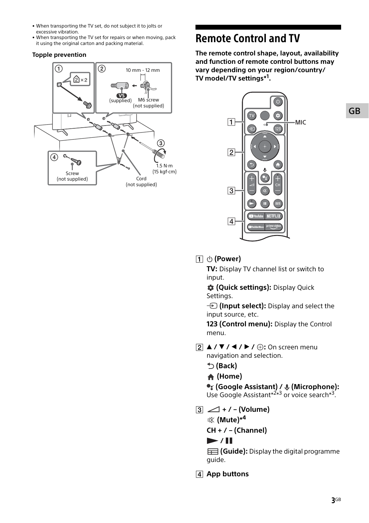- When transporting the TV set, do not subject it to jolts or excessive vibration.
- When transporting the TV set for repairs or when moving, pack it using the original carton and packing material.

#### **Topple prevention**



# Remote Control and TV

**The remote control shape, layout, availability and function of remote control buttons may vary depending on your region/country/ TV model/TV settings\*<sup>1</sup> .**



# **(Power)**

**TV:** Display TV channel list or switch to input.

 **(Quick settings):** Display Quick Settings.

*I* (Input select): Display and select the input source, etc.

**123 (Control menu):** Display the Control menu.

 $\boxed{2}$  **A** /  $\blacktriangledown$  /  $\blacktriangle$  /  $\blacktriangleright$  /  $\oplus$ : On screen menu navigation and selection.

 **(Back)**

 **(Home)**

 **(Google Assistant) / (Microphone):** Use Google Assistant<sup>\*2\*3</sup> or voice search<sup>\*3</sup>.

 $\boxed{3}$   $\boxed{\triangle}$  + / - (Volume)  **(Mute)\*<sup>4</sup>**

**CH + / – (Channel)**

# $\blacktriangleright$  /  $\blacksquare$

**(Guide):** Display the digital programme guide.

**App buttons**

# GB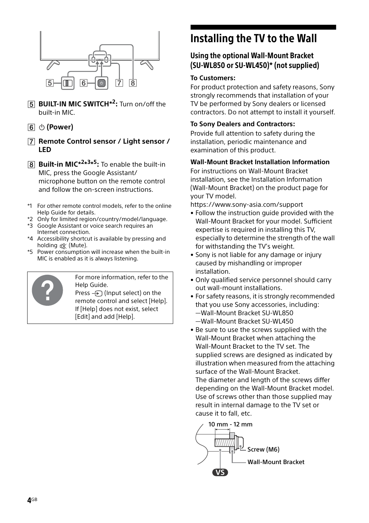

- **BUILT-IN MIC SWITCH<sup>\*2</sup>:** Turn on/off the built-in MIC.
- **(Power)**
- **Remote Control sensor / Light sensor / LED**
- **Built-in MIC<sup>\*2\*3\*5</sup>:** To enable the built-in MIC, press the Google Assistant/ microphone button on the remote control and follow the on-screen instructions.
- \*1 For other remote control models, refer to the online Help Guide for details.
- \*2 Only for limited region/country/model/language.
- \*3 Google Assistant or voice search requires an Internet connection.
- \*4 Accessibility shortcut is available by pressing and holding  $n\mathbb{X}$  (Mute).
- \*5 Power consumption will increase when the built-in MIC is enabled as it is always listening.



For more information, refer to the Help Guide.

Press  $\bigoplus$  (Input select) on the remote control and select [Help]. If [Help] does not exist, select [Edit] and add [Help].

# <span id="page-3-0"></span>Installing the TV to the Wall

# Using the optional Wall-Mount Bracket (SU-WL850 or SU-WL450)\* (not supplied)

### **To Customers:**

For product protection and safety reasons, Sony strongly recommends that installation of your TV be performed by Sony dealers or licensed contractors. Do not attempt to install it yourself.

### **To Sony Dealers and Contractors:**

Provide full attention to safety during the installation, periodic maintenance and examination of this product.

### **Wall-Mount Bracket Installation Information**

For instructions on Wall-Mount Bracket installation, see the Installation Information (Wall-Mount Bracket) on the product page for your TV model.

https://www.sony-asia.com/support

- Follow the instruction guide provided with the Wall-Mount Bracket for your model. Sufficient expertise is required in installing this TV, especially to determine the strength of the wall for withstanding the TV's weight.
- Sony is not liable for any damage or injury caused by mishandling or improper installation.
- Only qualified service personnel should carry out wall-mount installations.
- For safety reasons, it is strongly recommended that you use Sony accessories, including: —Wall-Mount Bracket SU-WL850 —Wall-Mount Bracket SU-WL450
- Be sure to use the screws supplied with the Wall-Mount Bracket when attaching the Wall-Mount Bracket to the TV set. The supplied screws are designed as indicated by illustration when measured from the attaching surface of the Wall-Mount Bracket. The diameter and length of the screws differ depending on the Wall-Mount Bracket model. Use of screws other than those supplied may result in internal damage to the TV set or cause it to fall, etc.

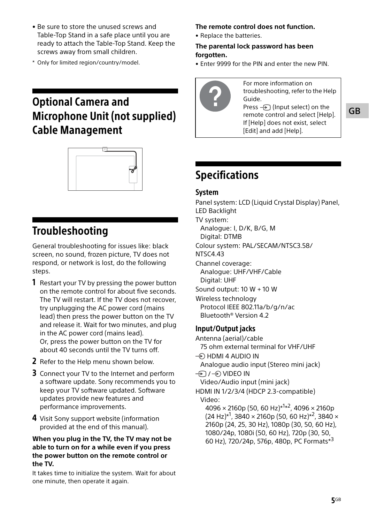- Be sure to store the unused screws and Table-Top Stand in a safe place until you are ready to attach the Table-Top Stand. Keep the screws away from small children.
- \* Only for limited region/country/model.

# Optional Camera and Microphone Unit (not supplied) Cable Management



# Troubleshooting

General troubleshooting for issues like: black screen, no sound, frozen picture, TV does not respond, or network is lost, do the following steps.

- **1** Restart your TV by pressing the power button on the remote control for about five seconds. The TV will restart. If the TV does not recover, try unplugging the AC power cord (mains lead) then press the power button on the TV and release it. Wait for two minutes, and plug in the AC power cord (mains lead). Or, press the power button on the TV for about 40 seconds until the TV turns off.
- 2 Refer to the Help menu shown below.
- **3** Connect your TV to the Internet and perform a software update. Sony recommends you to keep your TV software updated. Software updates provide new features and performance improvements.
- 4 Visit Sony support website (information provided at the end of this manual).

### **When you plug in the TV, the TV may not be able to turn on for a while even if you press the power button on the remote control or the TV.**

It takes time to initialize the system. Wait for about one minute, then operate it again.

### **The remote control does not function.**

• Replace the batteries.

### **The parental lock password has been forgotten.**

• Enter 9999 for the PIN and enter the new PIN.



For more information on troubleshooting, refer to the Help Guide. Press  $\bigoplus$  (Input select) on the remote control and select [Help]. If [Help] does not exist, select [Edit] and add [Help].

# Specifications

### System

Panel system: LCD (Liquid Crystal Display) Panel, LED Backlight TV system:

Analogue: I, D/K, B/G, M

Digital: DTMB

Colour system: PAL/SECAM/NTSC3.58/

NTSC4.43

Channel coverage: Analogue: UHF/VHF/Cable Digital: UHF

Sound output: 10 W + 10 W

Wireless technology Protocol IEEE 802.11a/b/g/n/ac Bluetooth® Version 4.2

# Input/Output jacks

Antenna (aerial)/cable 75 ohm external terminal for VHF/UHF  $\Rightarrow$  HDMI 4 AUDIO IN Analogue audio input (Stereo mini jack)  $\oplus$  /  $\oplus$  VIDEO IN Video/Audio input (mini jack) HDMI IN 1/2/3/4 (HDCP 2.3-compatible) Video:  $4096 \times 2160p$  (50, 60 Hz) $*^{1*2}$ , 4096  $\times$  2160p  $(24 \text{ Hz})^{*1}$ , 3840 × 2160p (50, 60 Hz)<sup>\*2</sup>, 3840 × 2160p (24, 25, 30 Hz), 1080p (30, 50, 60 Hz), 1080/24p, 1080i (50, 60 Hz), 720p (30, 50, 60 Hz), 720/24p, 576p, 480p, PC Formats\*<sup>3</sup>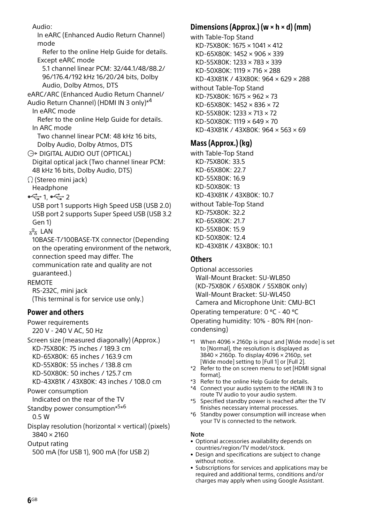Audio: In eARC (Enhanced Audio Return Channel) mode Refer to the online Help Guide for details. Except eARC mode 5.1 channel linear PCM: 32/44.1/48/88.2/ 96/176.4/192 kHz 16/20/24 bits, Dolby Audio, Dolby Atmos, DTS eARC/ARC (Enhanced Audio Return Channel/ Audio Return Channel) (HDMI IN 3 only)\*4 In eARC mode Refer to the online Help Guide for details. In ARC mode Two channel linear PCM: 48 kHz 16 bits, Dolby Audio, Dolby Atmos, DTS  $\ominus$  DIGITAL AUDIO OUT (OPTICAL) Digital optical jack (Two channel linear PCM: 48 kHz 16 bits, Dolby Audio, DTS) (Stereo mini jack) Headphone  $-1$ ,  $-2$ USB port 1 supports High Speed USB (USB 2.0) USB port 2 supports Super Speed USB (USB 3.2 Gen 1)  $x^2$  LAN 10BASE-T/100BASE-TX connector (Depending on the operating environment of the network, connection speed may differ. The communication rate and quality are not guaranteed.) REMOTE RS-232C, mini jack (This terminal is for service use only.) Power and others Power requirements 220 V - 240 V AC, 50 Hz Screen size (measured diagonally) (Approx.) KD-75X80K: 75 inches / 189.3 cm KD-65X80K: 65 inches / 163.9 cm KD-55X80K: 55 inches / 138.8 cm KD-50X80K: 50 inches / 125.7 cm KD-43X81K / 43X80K: 43 inches / 108.0 cm Power consumption Indicated on the rear of the TV Standby power consumption\*5\*6 0.5 W Display resolution (horizontal × vertical) (pixels) 3840 × 2160 Output rating 500 mA (for USB 1), 900 mA (for USB 2)

# Dimensions (Approx.) (w  $\times$  h  $\times$  d) (mm)

with Table-Top Stand KD-75X80K: 1675 × 1041 × 412 KD-65X80K: 1452 × 906 × 339 KD-55X80K: 1233 × 783 × 339 KD-50X80K: 1119 × 716 × 288 KD-43X81K / 43X80K: 964 × 629 × 288 without Table-Top Stand KD-75X80K: 1675 × 962 × 73 KD-65X80K: 1452 × 836 × 72 KD-55X80K: 1233 × 713 × 72 KD-50X80K: 1119 × 649 × 70 KD-43X81K / 43X80K: 964 × 563 × 69

# Mass (Approx.) (kg)

with Table-Top Stand KD-75X80K: 33.5 KD-65X80K: 22.7 KD-55X80K: 16.9 KD-50X80K: 13 KD-43X81K / 43X80K: 10.7 without Table-Top Stand KD-75X80K: 32.2 KD-65X80K: 21.7 KD-55X80K: 15.9 KD-50X80K: 12.4 KD-43X81K / 43X80K: 10.1

# **Others**

Optional accessories Wall-Mount Bracket: SU-WL850 (KD-75X80K / 65X80K / 55X80K only) Wall-Mount Bracket: SU-WL450 Camera and Microphone Unit: CMU-BC1 Operating temperature: 0 ºC - 40 ºC

Operating humidity: 10% - 80% RH (noncondensing)

- \*1 When 4096 × 2160p is input and [Wide mode] is set to [Normal], the resolution is displayed as 3840 × 2160p. To display 4096 × 2160p, set [Wide mode] setting to [Full 1] or [Full 2].
- \*2 Refer to the on screen menu to set [HDMI signal format].
- \*3 Refer to the online Help Guide for details.
- \*4 Connect your audio system to the HDMI IN 3 to route TV audio to your audio system.
- \*5 Specified standby power is reached after the TV finishes necessary internal processes.
- \*6 Standby power consumption will increase when your TV is connected to the network.

### Note

- Optional accessories availability depends on countries/region/TV model/stock.
- Design and specifications are subject to change without notice.
- Subscriptions for services and applications may be required and additional terms, conditions and/or charges may apply when using Google Assistant.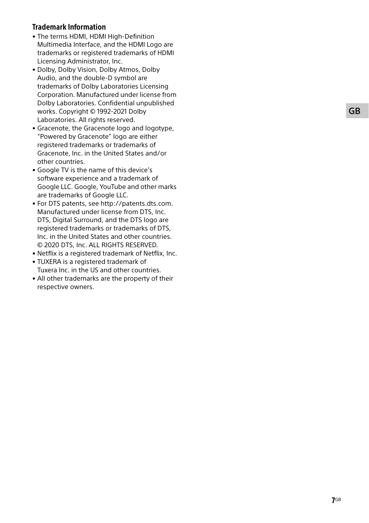# Trademark Information

- The terms HDMI, HDMI High-Definition Multimedia Interface, and the HDMI Logo are trademarks or registered trademarks of HDMI Licensing Administrator, Inc.
- Dolby, Dolby Vision, Dolby Atmos, Dolby Audio, and the double-D symbol are trademarks of Dolby Laboratories Licensing Corporation. Manufactured under license from Dolby Laboratories. Confidential unpublished works. Copyright © 1992-2021 Dolby Laboratories. All rights reserved.
- Gracenote, the Gracenote logo and logotype, "Powered by Gracenote" logo are either registered trademarks or trademarks of Gracenote, Inc. in the United States and/or other countries.
- Google TV is the name of this device's software experience and a trademark of Google LLC. Google, YouTube and other marks are trademarks of Google LLC.
- For DTS patents, see http://patents.dts.com. Manufactured under license from DTS, Inc. DTS, Digital Surround, and the DTS logo are registered trademarks or trademarks of DTS, Inc. in the United States and other countries. © 2020 DTS, Inc. ALL RIGHTS RESERVED.
- Netflix is a registered trademark of Netflix, Inc.
- TUXERA is a registered trademark of Tuxera Inc. in the US and other countries.
- All other trademarks are the property of their respective owners.

GB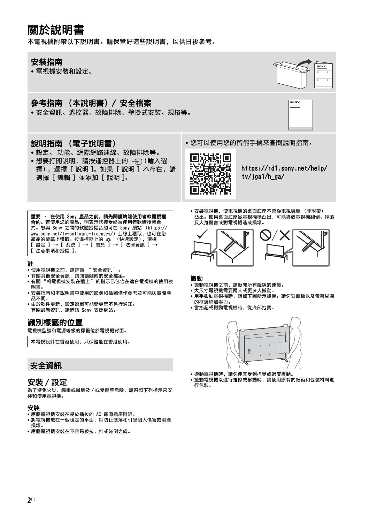# 關於說明書

本電視機附帶以下說明書。請保管好這些說明書,以供日後參考。

### 安裝指南

• 電視機安裝和設定。

# 參考指南 (本說明書)/ 安全檔案

• 安全資訊、遙控器、故障排除、壁掛式安裝、規格等。

# 說明指南 (電子說明書)

- 設定、 功能、網際網路連線、故障排除等。
- 想要打開說明, 請按遙控器上的  $\ominus$  (輸入選 擇),選擇 [ 說明 ]。如果 [ 說明 ] 不存在,請 選擇 [ 編輯 ] 並添加 [ 說明 ]。





[https://rd1.sony.net/help/](https://rd1.sony.net/help/tv/jga1/h_ga/) tv/jga1/h\_ga/

重要 - 在使用 Sony 產品之前,請先閱讀終端使用者軟體授權<br>合約。若使用您的產品,則表示您接受終端使用者軟體授權合 約。您與 Sony 之間的軟體授權合約可在 Sony 網站 (https:// www.sony.net/tv-software-licenses/) 上線上獲取, 也可在您 產品的螢幕上獲取。按遙控器上的 ✿ (快速設定),選擇<br>[ 設定 ] → [ 系統 ] → [ 關於 ] → [ 法律資訊 ] → [ 注意事項和授權 ]。

#### 註

- 使用電視機之前,請詳讀 [" 安全資訊 "](#page-7-0)。
- 有關其他安全資訊,請閱讀隨附的安全檔案。
- 有關美區文王真常,體質學用說: "……"《二 圖尔<br>• 有關["將電視機安裝在牆上"](#page-9-0)的指示已包含在這台電視機的使用說 明書。
- 安裝指南和本說明書中使用的影像和插圖僅作參考並可能與實際產 品不同。
- 由於軟件更新,設定選單可能變更恕不另行通知。 有關最新資訊,請造訪 Sony 支援網站。

### 識別標籤的位置

電視機型號和電源等級的標籤位於電視機背面。

本電視設計在香港使用,只保證能在香港使用。

# <span id="page-7-0"></span>安全資訊

### 安裝 / 設定

為了避免火災、觸電或損壞及 / 或受傷等危險,請遵照下列指示來安 裝和使用電視機。

#### 安裝

- 應將電視機安裝在易於插拔的 AC 電源插座附近。
- 將電視機放在一個穩定的平面,以防止墜落和引起個人傷害或財產 損壞。
- 應將電視機安裝在不容易被拉、推或碰倒之處。

• 安裝電視機,使電視機的桌面底座不會從電視機櫃 (非附帶) 凸出。如果桌面底座從電視機櫃凸出,可能導致電視機翻倒、掉落 及人身傷害或對電視機造成損壞。



#### 搬動

- 搬動電視機之前,請斷開所有纜線的連接。
- 大尺寸電視機需要兩人或更多人搬動。
- 用手搬動電視機時,請如下圖所示抓握。請勿對面板以及螢幕周圍 的框邊施加壓力。
- 當抬起或搬動電視機時,從底部抱實。



- 搬動電視機時,請勿使其受到搖晃或過度震動
- 搬動電視機以進行維修或移動時,請使用原有的紙箱和包裝材料進 行包裝。

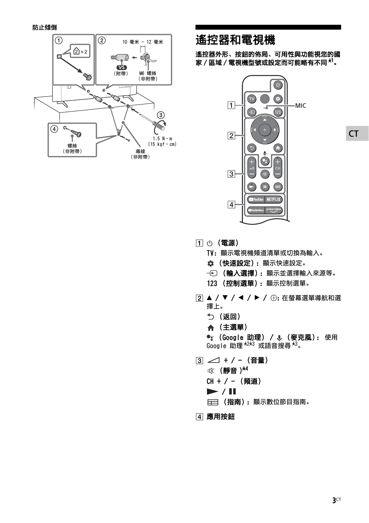

# 遙控器和電視機

遙控器外形、按鈕的佈局、可用性與功能視您的國 家 / 區域 / 電視機型號或設定而可能略有不同 \***<sup>1</sup>** 。



- (電源)
	- TV:顯示電視機頻道清單或切換為輸入。
	- (快速設定):顯示快速設定。
	- (輸入選擇):顯示並選擇輸入來源等。
	- 123 (控制選單):顯示控制選單。
- 2 ▲ / ▼ / ◀ / ▶ / ⊕: 在螢幕選單導航和選 擇上。
	- (返回)
	- (主選單)

<sup>●</sup> : (Google 助理) / ↓ (麥克風): 使用  $\frac{1}{3}$  Google 助理  $\frac{k^{2k-3}}{k^{2k-3}}$  或語音搜尋  $\frac{k^{3}}{8}$ 

- $\boxed{3}$   $\boxed{)}$  + / (音量) (靜音 )\*4 CH + / - (頻道)  $\blacktriangleright$  / II
	- 三三 (指南):顯示數位節目指南。
- 應用按鈕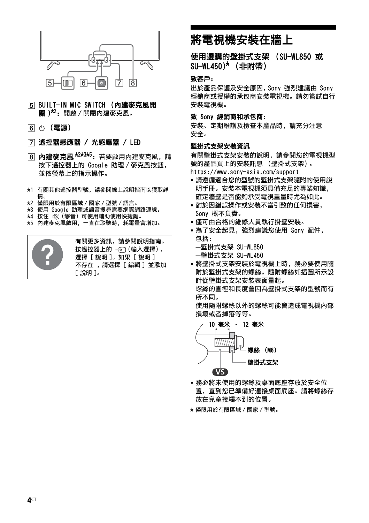

- BUILT-IN MIC SWITCH (內建麥克風開 關 )<sup>\*2</sup>: 開啟 / 關閉內建麥克風。
- (6) (電源)
- 遙控器感應器 / 光感應器 / LED
- 8 內**建麥克風 \*<sup>2\*3\*5</sup>:** 若要啟用內建麥克風, 請 按下遙控器上的 Google 助理 / 麥克風按鈕, 並依螢幕上的指示操作。
- \*1 有關其他遙控器型號,請參閱線上說明指南以獲取詳 情。
- \*2 僅限用於有限區域 / 國家 / 型號 / 語言。
- \*3 使用 Google 助理或語音搜尋需要網際網路連線。
- \*4 按住 (靜音)可使用輔助使用快捷鍵。
- \*5 內建麥克風啟用,一直在聆聽時,耗電量會增加。

有關更多資訊,請參閱說明指南。 按遙控器上的 - (前入選擇), 選擇 [ 說明 ]。如果 [ 說明 ] 不存在 ,請選擇 [ 編輯 ] 並添加 [ 說明 ]。

# <span id="page-9-0"></span>將電視機安裝在牆上

### 使用選購的壁掛式支架 (SU-WL850 或 SU-WL450)\* (非附帶)

#### 致客戶:

出於產品保護及安全原因,Sony 強烈建議由 Sony 經銷商或授權的承包商安裝電視機。請勿嘗試自行 安裝電視機。

#### 致 Sony 經銷商和承包商:

安裝、定期維護及檢查本產品時,請充分注意 安全。

### 壁掛式支架安裝資訊

有關壁掛式支架安裝的說明,請參閱您的電視機型 號的產品頁上的安裝訊息 (壁掛式支架)。

https://www.sony-asia.com/support

- 請遵循適合您的型號的壁掛式支架隨附的使用說 明手冊。安裝本電視機須具備充足的專業知識, 確定牆壁是否能夠承受電視重量時尤為如此。
- 對於因錯誤操作或安裝不當引致的任何損害, Sony 概不負責。
- 僅可由合格的維修人員執行掛壁安裝。
- 為了安全起見,強烈建議您使用 Sony 配件, 包括:
	- —壁掛式支架 SU-WL850
	- —壁掛式支架 SU-WL450
- 將壁掛式支架安裝於電視機上時,務必要使用隨 附於壁掛式支架的螺絲。隨附螺絲如插圖所示設 計從壁掛式支架安裝表面量起。 螺絲的直徑和長度會因為壁掛式支架的型號而有

所不同。

使用隨附螺絲以外的螺絲可能會造成電視機內部 損壞或者掉落等等。



- 務必將未使用的螺絲及桌面底座存放於安全位 置,直到您已準備好連接桌面底座。請將螺絲存 放在兒童接觸不到的位置。
- \* 僅限用於有限區域 / 國家 / 型號。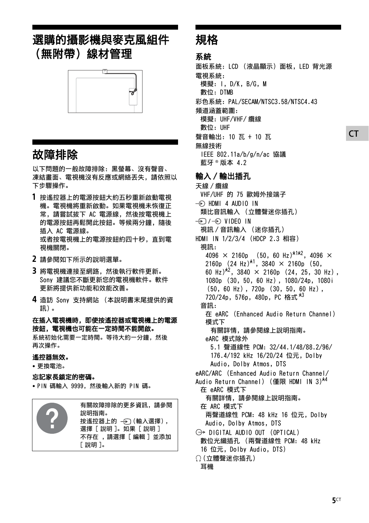# 選購的攝影機與麥克風組件 (無附帶)線材管理



# 故障排除

以下問題的一般故障排除:黑螢幕、沒有聲音、 凍結畫面、電視機沒有反應或網絡丟失,請依照以 下步驟操作。

- 1 按遙控器上的電源按鈕大約五秒重新啟動電視 機。電視機將重新啟動。如果電視機未恢復正 常, 請嘗試拔下 AC 雷源線, 然後按雷視機上 的電源按鈕再鬆開此按鈕。等候兩分鐘,隨後 插入 AC 電源線。 或者按電視機上的電源按鈕約四十秒,直到電 視機關閉。
- 2 請參閱如下所示的說明選單。
- 3 將電視機連接至網路,然後執行軟件更新。 Sony 建議您不斷更新您的電視機軟件。軟件 更新將提供新功能和效能改善。
- 4 造訪 Sony 支持網站 (本說明書末尾提供的資 訊)。

在插入電視機時,即使按遙控器或電視機上的電源 按鈕,電視機也可能在一定時間不能開啟。

系統初始化需要一定時間。等待大約一分鐘,然後 再次操作。

#### 遙控器無效。

• 更換電池。

### 忘記家長鎖定的密碼。

• PIN 碼輸入 9999,然後輸入新的 PIN 碼。

|  | 有關故障排除的更多資訊,請參閱<br>說明指南。<br>按遙控器上的 ——> (輸入選擇),<br>選擇「說明」。如果「說明」<br>不存在 ,請選擇 [編輯]並添加<br>「說明]。 |
|--|----------------------------------------------------------------------------------------------|
|--|----------------------------------------------------------------------------------------------|

# 規格

# 系統

面板系統:LCD (液晶顯示)面板,LED 背光源 電視系統: 模擬:I,D/K,B/G,M 數位:DTMB 彩色系統:PAL/SECAM/NTSC3.58/NTSC4.43 頻道涵蓋範圍: 模擬:UHF/VHF/ 纜線 數位:UHF 聲音輸出:10 瓦 + 10 瓦 無線技術 IEEE 802.11a/b/g/n/ac 協議 藍牙 ® 版本 4.2

# 輸入 / 輸出插孔

天線 / 纜線 VHF/UHF 的 75 歐姆外接端子  $\Rightarrow$  HDMI 4 AUDIO IN 類比音訊輸入 (立體聲迷你插孔) → VIDEO IN 視訊 / 音訊輸入 (迷你插孔) HDMI IN 1/2/3/4 (HDCP 2.3 相容) 視訊:  $4096 \times 2160p$  (50, 60 Hz)<sup>\*1\*2</sup>, 4096  $\times$ 2160p  $(24 \text{ Hz})^{*1}$ , 3840  $\times$  2160p (50, 60 Hz)<sup> $\star$ 2, 3840  $\times$  2160p (24, 25, 30 Hz),</sup> 1080p (30,50,60 Hz),1080/24p,1080i (50,60 Hz),720p (30,50,60 Hz), 720/24p, 576p, 480p, PC 格式 \*3 音訊: 在 eARC (Enhanced Audio Return Channel) 模式下 有關詳情,請參閱線上說明指南。 eARC 模式除外 5.1 聲道線性 PCM:32/44.1/48/88.2/96/ 176.4/192 kHz 16/20/24 位元, Dolby Audio, Dolby Atmos, DTS eARC/ARC (Enhanced Audio Return Channel/ Audio Return Channel) (僅限 HDMI IN 3)<sup>\*4</sup> 在 eARC 模式下 有關詳情,請參閱線上說明指南。 在 ARC 模式下 兩聲道線性 PCM:48 kHz 16 位元,Dolby Audio, Dolby Atmos, DTS  $\ominus$  DIGITAL AUDIO OUT (OPTICAL) 數位光纖插孔 (兩聲道線性 PCM:48 kHz 16 位元, Dolby Audio, DTS) (立體聲迷你插孔) 耳機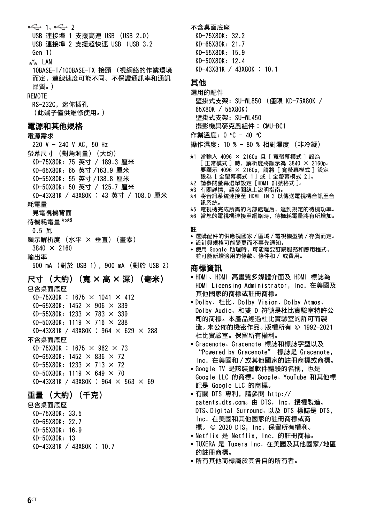$-21. -21$ USB 連接埠 1 支援高速 USB (USB 2.0) USB 連接埠 2 支援超快速 USB (USB 3.2 Gen 1)  $\frac{p}{2}$  LAN 10BASE-T/100BASE-TX 接頭 (視網絡的作業環境 而定,連線速度可能不同。不保證通訊率和通訊 品質。) REMOTE RS-232C,迷你插孔 (此端子僅供維修使用。) 電源和其他規格 電源需求 220 V  $-$  240 V AC, 50 Hz 螢幕尺寸 (對角測量)(大約) KD-75X80K:75 英寸 / 189.3 厘米 KD-65X80K:65 英寸 /163.9 厘米 KD-55X80K:55 英寸 /138.8 厘米 KD-50X80K:50 英寸 / 125.7 厘米 KD-43X81K / 43X80K ︰ 43 英寸 / 108.0 厘米 耗電量 見電視機背面 待機耗電量 \*5\*6  $0.5$  瓦 顯示解析度 (水平 × 垂直)(畫素)  $3840 \times 2160$ 輸出率 500 mA (對於 USB 1),900 mA (對於 USB 2) 尺寸 (大約) (寬 × 高 × 深) (毫米) 包含桌面底座  $KD-75X80K : 1675 \times 1041 \times 412$  $KD-65X80K: 1452 \times 906 \times 339$  $KD-55X80K: 1233 \times 783 \times 339$ KD-50X80K: 1119  $\times$  716  $\times$  288 KD-43X81K / 43X80K : 964  $\times$  629  $\times$  288 不含桌面底座  $KD-75X80K : 1675 \times 962 \times 73$  $KD-65X80K: 1452 \times 836 \times 72$ KD-55X80K: 1233  $\times$  713  $\times$  72  $KD-50X80K: 1119 \times 649 \times 70$ KD-43X81K / 43X80K : 964  $\times$  563  $\times$  69 重量 (大約)(千克)

### 包含桌面底座

KD-75X80K:33.5 KD-65X80K:22.7 KD-55X80K:16.9 KD-50X80K:13 KD-43X81K / 43X80K ︰ 10.7 不含桌面底座 KD-75X80K:32.2 KD-65X80K:21.7 KD-55X80K:15.9 KD-50X80K:12.4 KD-43X81K / 43X80K ︰ 10.1

### 其他

選用的配件 壁掛式支架:SU-WL850 (僅限 KD-75X80K / 65X80K / 55X80K) 壁掛式支架: SU-WL450 攝影機與麥克風組件︰ CMU-BC1 作業溫度:0 ºC - 40 ºC

操作濕度:10 % - 80 % 相對濕度 (非冷凝)

- \*1 當輸入 4096 × 2160p 且 [ 寬螢幕模式 ] 設為 [ 正常模式 ] 時,解析度將顯示為 3840 × 2160p。 要顯示 4096 × 2160p,請將 [ 寬螢幕模式 ] 設定 設為 [ 全螢幕模式 1 ] 或 [ 全螢幕模式 2 ]。
- \*2 請參閱螢幕選單設定 [HDMI 訊號格式 ]。
- \*3 有關詳情,請參閱線上說明指南。
- \*4 將音訊系統連接至 HDMI IN 3 以傳送電視機音訊至音 訊系統。
- \*5 電視機完成所需的內部處理后,達到規定的待機功率。
- \*6 當您的電視機連接至網絡時,待機耗電量將有所增加。

#### 註

- 選購配件的供應視國家 / 區域 / 電視機型號 / 存貨而定。
- 設計與規格可能變更而不事先通知。
- 使用 Google 助理時,可能需要訂購服務和應用程式, 並可能新增適用的條款、條件和 / 或費用。

### 商標資訊

- HDMI、HDMI 高畫質多媒體介面及 HDMI 標誌為 HDMI Licensing Administrator, Inc. 在美國及 其他國家的商標或註冊商標。
- Dolby、杜比、Dolby Vision、Dolby Atmos、 Dolby Audio、和雙 D 符號是杜比實驗室特許公 司的商標。本產品經過杜比實驗室的許可而製 造。未公佈的機密作品。版權所有 © 1992-2021 杜比實驗室。保留所有權利。
- Gracenote、Gracenote 標誌和標誌字型以及 "Powered by Gracenote" 標誌是 Gracenote, Inc. 在美國和 / 或其他國家的註冊商標或商標。
- Google TV 是該裝置軟件體驗的名稱,也是 Google LLC 的商標。Google、YouTube 和其他標 記是 Google LLC 的商標。
- 有關 DTS 專利,請參閱 [http://](http://patents.dts.com) [patents.dts.com。由](http://patents.dts.com) DTS, Inc. 授權製造。 DTS、Digital Surround、以及 DTS 標誌是 DTS, Inc. 在美國和其他國家的註冊商標或商 標。 © 2020 DTS, Inc. 保留所有權利。
- Netflix 是 Netflix, Inc. 的註冊商標。
- TUXERA 是 Tuxera Inc. 在美國及其他國家/地區 的註冊商標。
- 所有其他商標屬於其各自的所有者。